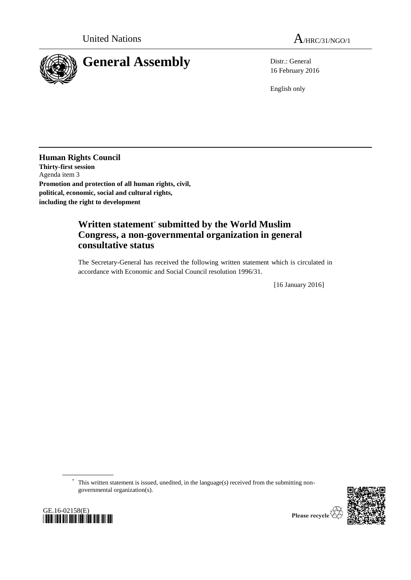



16 February 2016

English only

**Human Rights Council Thirty-first session** Agenda item 3 **Promotion and protection of all human rights, civil, political, economic, social and cultural rights, including the right to development**

## **Written statement**\* **submitted by the World Muslim Congress, a non-governmental organization in general consultative status**

The Secretary-General has received the following written statement which is circulated in accordance with Economic and Social Council resolution 1996/31.

[16 January 2016]

\* This written statement is issued, unedited, in the language(s) received from the submitting nongovernmental organization(s).





Please recycle  $\overline{\mathbb{V}}$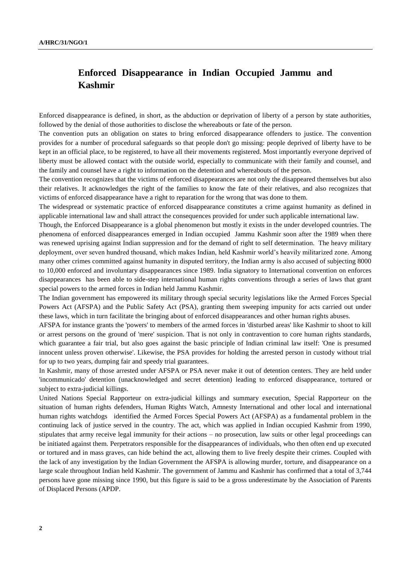## **Enforced Disappearance in Indian Occupied Jammu and Kashmir**

Enforced disappearance is defined, in short, as the abduction or deprivation of liberty of a person by state authorities, followed by the denial of those authorities to disclose the whereabouts or fate of the person.

The convention puts an obligation on states to bring enforced disappearance offenders to justice. The convention provides for a number of procedural safeguards so that people don't go missing: people deprived of liberty have to be kept in an official place, to be registered, to have all their movements registered. Most importantly everyone deprived of liberty must be allowed contact with the outside world, especially to communicate with their family and counsel, and the family and counsel have a right to information on the detention and whereabouts of the person.

The convention recognizes that the victims of enforced disappearances are not only the disappeared themselves but also their relatives. It acknowledges the right of the families to know the fate of their relatives, and also recognizes that victims of enforced disappearance have a right to reparation for the wrong that was done to them.

The widespread or systematic practice of enforced disappearance constitutes a crime against humanity as defined in applicable international law and shall attract the consequences provided for under such applicable international law.

Though, the Enforced Disappearance is a global phenomenon but mostly it exists in the under developed countries. The phenomena of enforced disappearances emerged in Indian occupied Jammu Kashmir soon after the 1989 when there was renewed uprising against Indian suppression and for the demand of right to self determination. The heavy military deployment, over seven hundred thousand, which makes Indian, held Kashmir world's heavily militarized zone. Among many other crimes committed against humanity in disputed territory, the Indian army is also accused of subjecting 8000 to 10,000 enforced and involuntary disappearances since 1989. India signatory to International convention on enforces disappearances has been able to side-step international human rights conventions through a series of laws that grant special powers to the armed forces in Indian held Jammu Kashmir.

The Indian government has empowered its military through special security legislations like the Armed Forces Special Powers Act (AFSPA) and the Public Safety Act (PSA), granting them sweeping impunity for acts carried out under these laws, which in turn facilitate the bringing about of enforced disappearances and other human rights abuses.

AFSPA for instance grants the 'powers' to members of the armed forces in 'disturbed areas' like Kashmir to shoot to kill or arrest persons on the ground of 'mere' suspicion. That is not only in contravention to core human rights standards, which guarantee a fair trial, but also goes against the basic principle of Indian criminal law itself: 'One is presumed innocent unless proven otherwise'. Likewise, the PSA provides for holding the arrested person in custody without trial for up to two years, dumping fair and speedy trial guarantees.

In Kashmir, many of those arrested under AFSPA or PSA never make it out of detention centers. They are held under 'incommunicado' detention (unacknowledged and secret detention) leading to enforced disappearance, tortured or subject to extra-judicial killings.

United Nations Special Rapporteur on extra-judicial killings and summary execution, Special Rapporteur on the situation of human rights defenders, Human Rights Watch, Amnesty International and other local and international human rights watchdogs identified the Armed Forces Special Powers Act (AFSPA) as a fundamental problem in the continuing lack of justice served in the country. The act, which was applied in Indian occupied Kashmir from 1990, stipulates that army receive legal immunity for their actions – no prosecution, law suits or other legal proceedings can be initiated against them. Perpetrators responsible for the disappearances of individuals, who then often end up executed or tortured and in mass graves, can hide behind the act, allowing them to live freely despite their crimes. Coupled with the lack of any investigation by the Indian Government the AFSPA is allowing murder, torture, and disappearance on a large scale throughout Indian held Kashmir. The government of Jammu and Kashmir has confirmed that a total of 3,744 persons have gone missing since 1990, but this figure is said to be a gross underestimate by the Association of Parents of Displaced Persons (APDP.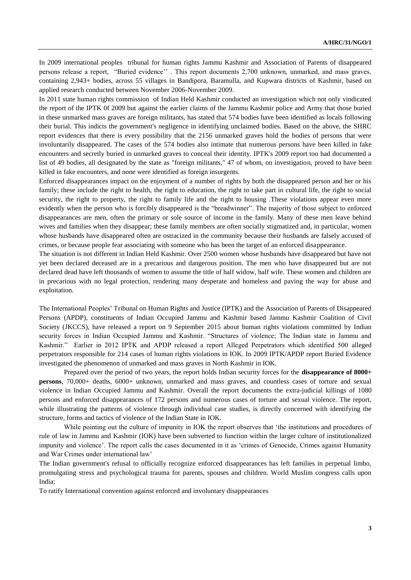In 2009 international peoples tribunal for human rights Jammu Kashmir and Association of Parents of disappeared persons release a report, "Buried evidence'' . This report documents 2,700 unknown, unmarked, and mass graves, containing 2,943+ bodies, across 55 villages in Bandipora, Baramulla, and Kupwara districts of Kashmir, based on applied research conducted between November 2006-November 2009.

In 2011 state human rights commission of Indian Held Kashmir conducted an investigation which not only vindicated the report of the IPTK 0f 2009 but against the earlier claims of the Jammu Kashmir police and Army that those buried in these unmarked mass graves are foreign militants, has stated that 574 bodies have been identified as locals following their burial. This indicts the government's negligence in identifying unclaimed bodies. Based on the above, the SHRC report evidences that there is every possibility that the 2156 unmarked graves hold the bodies of persons that were involuntarily disappeared. The cases of the 574 bodies also intimate that numerous persons have been killed in fake encounters and secretly buried in unmarked graves to conceal their identity. IPTK's 2009 report too had documented a list of 49 bodies, all designated by the state as "foreign militants," 47 of whom, on investigation, proved to have been killed in fake encounters, and none were identified as foreign insurgents.

Enforced disappearances impact on the enjoyment of a number of rights by both the disappeared person and her or his family; these include the right to health, the right to education, the right to take part in cultural life, the right to social security, the right to property, the right to family life and the right to housing .These violations appear even more evidently when the person who is forcibly disappeared is the "breadwinner". The majority of those subject to enforced disappearances are men, often the primary or sole source of income in the family. Many of these men leave behind wives and families when they disappear; these family members are often socially stigmatized and, in particular, women whose husbands have disappeared often are ostracized in the community because their husbands are falsely accused of crimes, or because people fear associating with someone who has been the target of an enforced disappearance.

The situation is not different in Indian Held Kashmir. Over 2500 women whose husbands have disappeared but have not yet been declared deceased are in a precarious and dangerous position. The men who have disappeared but are not declared dead have left thousands of women to assume the title of half widow, half wife. These women and children are in precarious with no legal protection, rendering many desperate and homeless and paving the way for abuse and exploitation.

The International Peoples' Tribunal on Human Rights and Justice (IPTK) and the Association of Parents of Disappeared Persons (APDP), constituents of Indian Occupied Jammu and Kashmir based Jammu Kashmir Coalition of Civil Society (JKCCS), have released a report on 9 September 2015 about human rights violations committed by Indian security forces in Indian Occupied Jammu and Kashmir. "Structures of violence; The Indian state in Jammu and Kashmir." Earlier in 2012 IPTK and APDP released a report Alleged Perpetrators which identified 500 alleged perpetrators responsible for 214 cases of human rights violations in IOK. In 2009 IPTK/APDP report Buried Evidence investigated the phenomenon of unmarked and mass graves in North Kashmir in IOK.

Prepared over the period of two years, the report holds Indian security forces for the **disappearance of 8000+ persons**, 70,000+ deaths, 6000+ unknown, unmarked and mass graves, and countless cases of torture and sexual violence in Indian Occupied Jammu and Kashmir. Overall the report documents the extra-judicial killings of 1080 persons and enforced disappearances of 172 persons and numerous cases of torture and sexual violence. The report, while illustrating the patterns of violence through individual case studies, is directly concerned with identifying the structure, forms and tactics of violence of the Indian State in IOK.

While pointing out the culture of impunity in IOK the report observes that 'the institutions and procedures of rule of law in Jammu and Kashmir (IOK) have been subverted to function within the larger culture of institutionalized impunity and violence'. The report calls the cases documented in it as 'crimes of Genocide, Crimes against Humanity and War Crimes under international law'

The Indian government's refusal to officially recognize enforced disappearances has left families in perpetual limbo, promulgating stress and psychological trauma for parents, spouses and children. World Muslim congress calls upon India;

To ratify International convention against enforced and involuntary disappearances